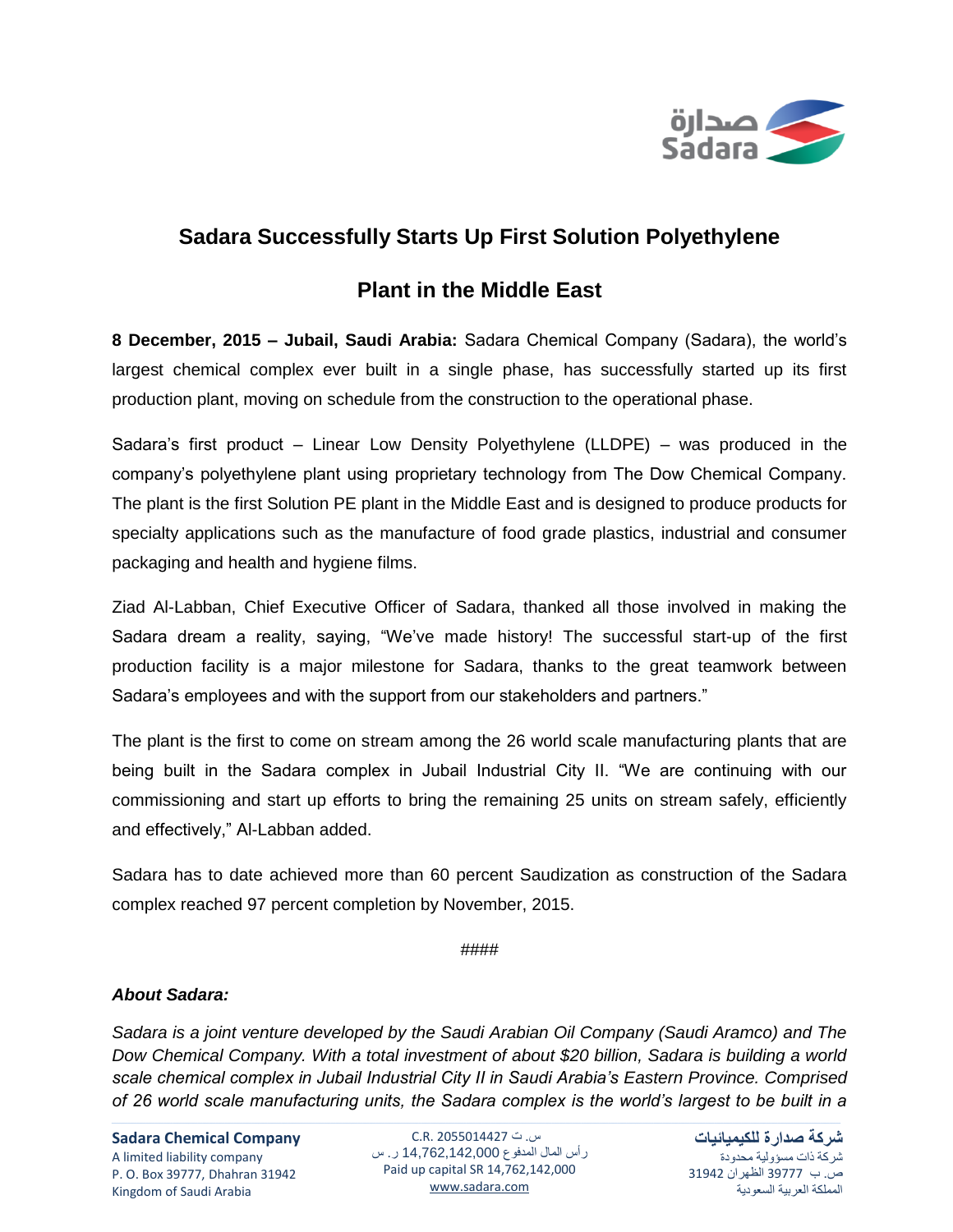

## **Sadara Successfully Starts Up First Solution Polyethylene**

## **Plant in the Middle East**

**8 December, 2015 – Jubail, Saudi Arabia:** Sadara Chemical Company (Sadara), the world's largest chemical complex ever built in a single phase, has successfully started up its first production plant, moving on schedule from the construction to the operational phase.

Sadara's first product – Linear Low Density Polyethylene (LLDPE) – was produced in the company's polyethylene plant using proprietary technology from The Dow Chemical Company. The plant is the first Solution PE plant in the Middle East and is designed to produce products for specialty applications such as the manufacture of food grade plastics, industrial and consumer packaging and health and hygiene films.

Ziad Al-Labban, Chief Executive Officer of Sadara, thanked all those involved in making the Sadara dream a reality, saying, "We've made history! The successful start-up of the first production facility is a major milestone for Sadara, thanks to the great teamwork between Sadara's employees and with the support from our stakeholders and partners."

The plant is the first to come on stream among the 26 world scale manufacturing plants that are being built in the Sadara complex in Jubail Industrial City II. "We are continuing with our commissioning and start up efforts to bring the remaining 25 units on stream safely, efficiently and effectively," Al-Labban added.

Sadara has to date achieved more than 60 percent Saudization as construction of the Sadara complex reached 97 percent completion by November, 2015.

## ####

## *About Sadara:*

*Sadara is a joint venture developed by the Saudi Arabian Oil Company (Saudi Aramco) and The Dow Chemical Company. With a total investment of about \$20 billion, Sadara is building a world scale chemical complex in Jubail Industrial City II in Saudi Arabia's Eastern Province. Comprised of 26 world scale manufacturing units, the Sadara complex is the world's largest to be built in a* 

**Sadara Chemical Company** A limited liability company P. O. Box 39777, Dhahran 31942 Kingdom of Saudi Arabia

س. ت C.R. 2055014427 رأس المال المدفوع 14,762,142,000 ر. س Paid up capital SR 14,762,142,000 [www.sadara.com](http://www.sadara.com/)